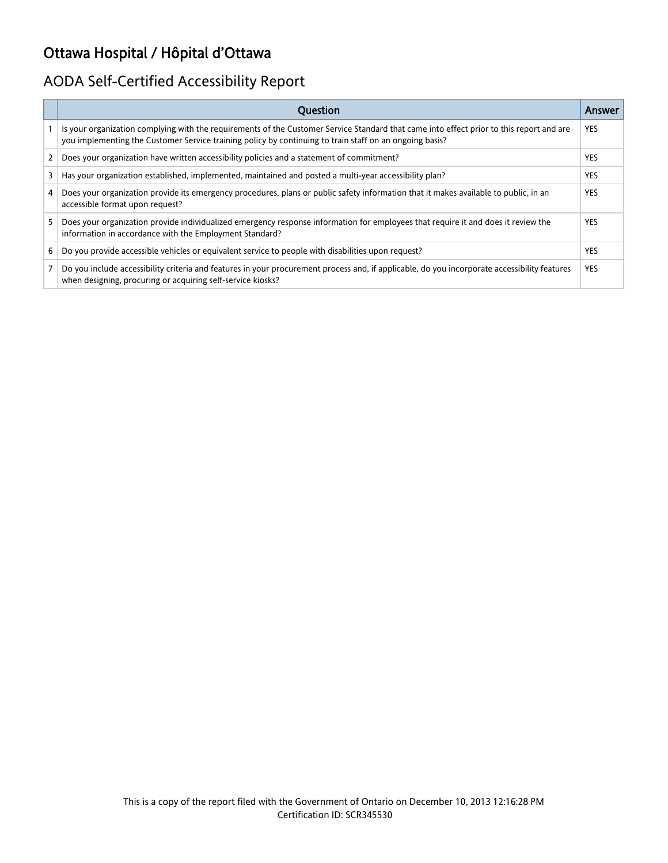# Ottawa Hospital / Hôpital d'Ottawa

# AODA Self-Certified Accessibility Report

|    | <b>Ouestion</b>                                                                                                                                                                                                                                     | Answer     |
|----|-----------------------------------------------------------------------------------------------------------------------------------------------------------------------------------------------------------------------------------------------------|------------|
|    | Is your organization complying with the requirements of the Customer Service Standard that came into effect prior to this report and are<br>you implementing the Customer Service training policy by continuing to train staff on an ongoing basis? | <b>YES</b> |
| 2  | Does your organization have written accessibility policies and a statement of commitment?                                                                                                                                                           | <b>YES</b> |
| 3  | Has your organization established, implemented, maintained and posted a multi-year accessibility plan?                                                                                                                                              | <b>YES</b> |
| 4  | Does your organization provide its emergency procedures, plans or public safety information that it makes available to public, in an<br>accessible format upon request?                                                                             | <b>YES</b> |
| 5. | Does your organization provide individualized emergency response information for employees that require it and does it review the<br>information in accordance with the Employment Standard?                                                        | <b>YES</b> |
| 6  | Do you provide accessible vehicles or equivalent service to people with disabilities upon request?                                                                                                                                                  | <b>YES</b> |
|    | Do you include accessibility criteria and features in your procurement process and, if applicable, do you incorporate accessibility features<br>when designing, procuring or acquiring self-service kiosks?                                         | <b>YES</b> |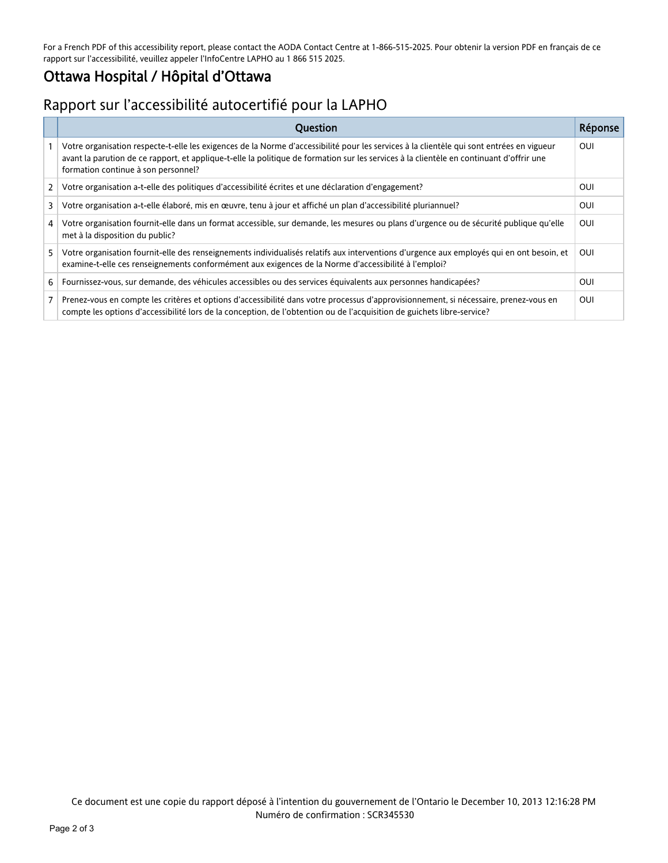For a French PDF of this accessibility report, please contact the AODA Contact Centre at 1-866-515-2025. Pour obtenir la version PDF en français de ce rapport sur l'accessibilité, veuillez appeler l'InfoCentre LAPHO au 1 866 515 2025.

### Ottawa Hospital / Hôpital d'Ottawa

## Rapport sur l'accessibilité autocertifié pour la LAPHO

|    | <b>Ouestion</b>                                                                                                                                                                                                                                                                                                              | Réponse |
|----|------------------------------------------------------------------------------------------------------------------------------------------------------------------------------------------------------------------------------------------------------------------------------------------------------------------------------|---------|
|    | Votre organisation respecte-t-elle les exigences de la Norme d'accessibilité pour les services à la clientèle qui sont entrées en vigueur<br>avant la parution de ce rapport, et applique-t-elle la politique de formation sur les services à la clientèle en continuant d'offrir une<br>formation continue à son personnel? | OUI     |
| 2  | Votre organisation a-t-elle des politiques d'accessibilité écrites et une déclaration d'engagement?                                                                                                                                                                                                                          | OUI     |
| 3  | Votre organisation a-t-elle élaboré, mis en œuvre, tenu à jour et affiché un plan d'accessibilité pluriannuel?                                                                                                                                                                                                               | OUI     |
| 4  | Votre organisation fournit-elle dans un format accessible, sur demande, les mesures ou plans d'urgence ou de sécurité publique qu'elle<br>met à la disposition du public?                                                                                                                                                    | OUI     |
| 5. | Votre organisation fournit-elle des renseignements individualisés relatifs aux interventions d'urgence aux employés qui en ont besoin, et<br>examine-t-elle ces renseignements conformément aux exigences de la Norme d'accessibilité à l'emploi?                                                                            | OUI     |
| 6  | Fournissez-vous, sur demande, des véhicules accessibles ou des services équivalents aux personnes handicapées?                                                                                                                                                                                                               | OUI     |
|    | Prenez-vous en compte les critères et options d'accessibilité dans votre processus d'approvisionnement, si nécessaire, prenez-vous en<br>compte les options d'accessibilité lors de la conception, de l'obtention ou de l'acquisition de guichets libre-service?                                                             | OUI     |